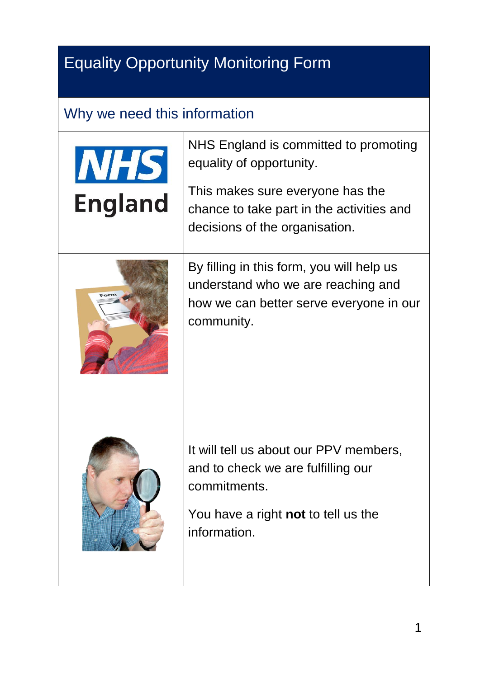## Equality Opportunity Monitoring Form

## Why we need this information

| <b>NHS</b><br><b>England</b> | NHS England is committed to promoting<br>equality of opportunity.<br>This makes sure everyone has the<br>chance to take part in the activities and<br>decisions of the organisation. |
|------------------------------|--------------------------------------------------------------------------------------------------------------------------------------------------------------------------------------|
|                              | By filling in this form, you will help us<br>understand who we are reaching and<br>how we can better serve everyone in our<br>community.                                             |
|                              | It will tell us about our PPV members,<br>and to check we are fulfilling our<br>commitments.<br>You have a right not to tell us the<br>information.                                  |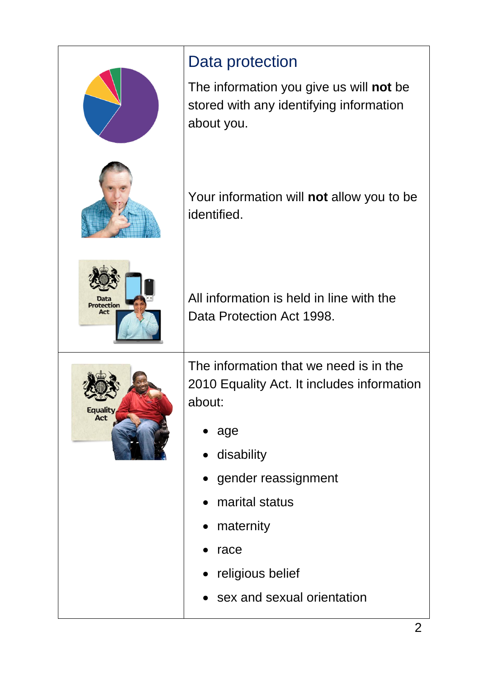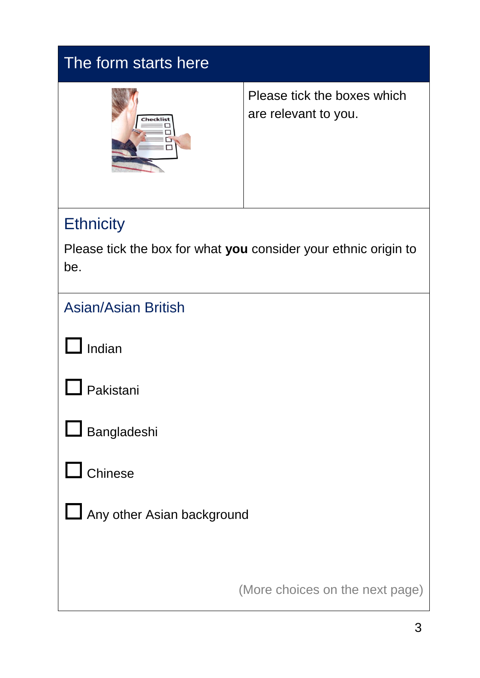| The form starts here                                                   |                                                     |  |  |
|------------------------------------------------------------------------|-----------------------------------------------------|--|--|
| Checklis                                                               | Please tick the boxes which<br>are relevant to you. |  |  |
| <b>Ethnicity</b>                                                       |                                                     |  |  |
| Please tick the box for what you consider your ethnic origin to<br>be. |                                                     |  |  |
| <b>Asian/Asian British</b>                                             |                                                     |  |  |
| Indian                                                                 |                                                     |  |  |
| akistani                                                               |                                                     |  |  |
| Bangladeshi                                                            |                                                     |  |  |
| Chinese                                                                |                                                     |  |  |
| Any other Asian background                                             |                                                     |  |  |
|                                                                        | (More choices on the next page)                     |  |  |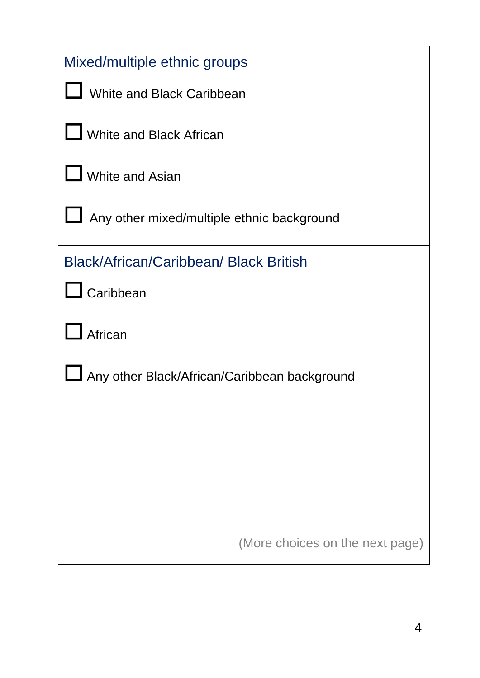| Mixed/multiple ethnic groups                  |  |  |  |
|-----------------------------------------------|--|--|--|
| <b>White and Black Caribbean</b>              |  |  |  |
| White and Black African                       |  |  |  |
| <b>White and Asian</b>                        |  |  |  |
| Any other mixed/multiple ethnic background    |  |  |  |
| <b>Black/African/Caribbean/ Black British</b> |  |  |  |
| $\Box$ Caribbean                              |  |  |  |
| African                                       |  |  |  |
| Any other Black/African/Caribbean background  |  |  |  |
|                                               |  |  |  |
|                                               |  |  |  |
|                                               |  |  |  |
|                                               |  |  |  |
| (More choices on the next page)               |  |  |  |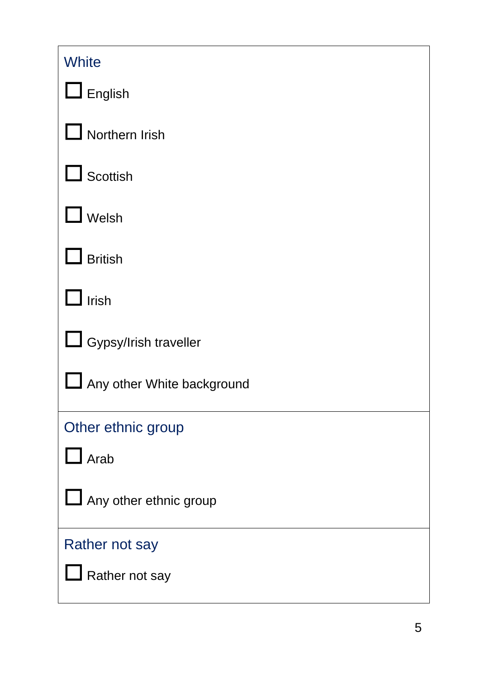| <b>White</b>                     |
|----------------------------------|
| $\Box$ English                   |
| Northern Irish                   |
| $\Box$ Scottish                  |
| Welsh                            |
| <b>British</b>                   |
| Irish                            |
| Gypsy/Irish traveller            |
| Any other White background<br>└┘ |
| Other ethnic group               |
| $\Box$ Arab                      |
| Any other ethnic group           |
| <b>Rather not say</b>            |
| Rather not say                   |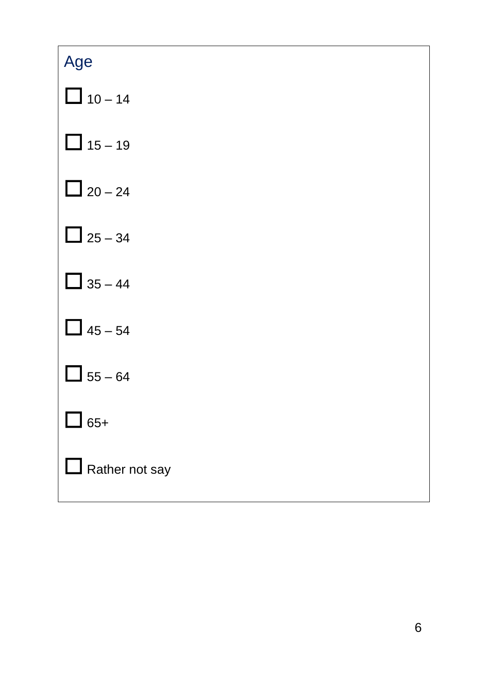| Age                   |
|-----------------------|
| $\Box$ 10 - 14        |
| $\Box$ 15 - 19        |
| $\Box$ 20 – 24        |
| $\Box$ 25 - 34        |
| $\Box$ 35 – 44        |
| $\Box$ 45 – 54        |
| $55 - 64$             |
| $\Box$ 65+            |
| $\Box$ Rather not say |
|                       |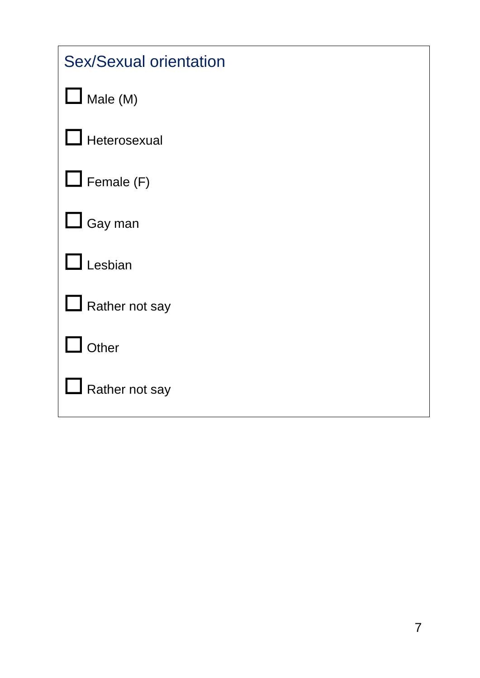| <b>Sex/Sexual orientation</b> |
|-------------------------------|
| $\Box$ Male (M)               |
| Heterosexual                  |
| $\Box$ Female (F)             |
| $\Box$ Gay man                |
| Lesbian                       |
| $\Box$ Rather not say         |
| Other                         |
| Rather not say                |
|                               |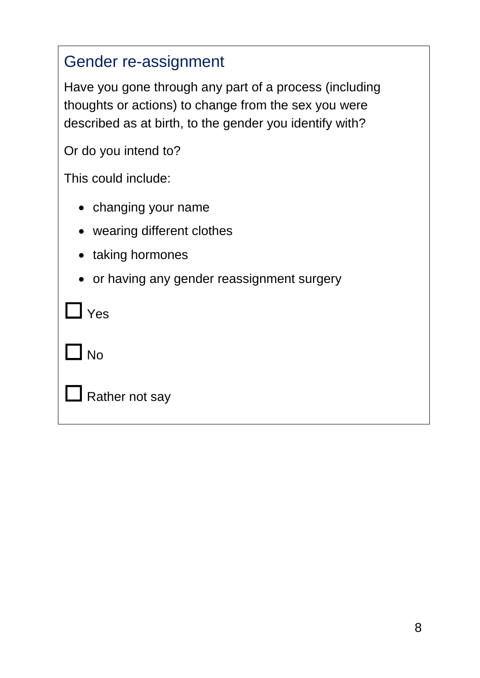## Gender re-assignment

Have you gone through any part of a process (including thoughts or actions) to change from the sex you were described as at birth, to the gender you identify with?

Or do you intend to?

This could include:

- changing your name
- wearing different clothes
- taking hormones
- or having any gender reassignment surgery

| $\Box$ Yes            |
|-----------------------|
| $\Box$ No             |
| $\Box$ Rather not say |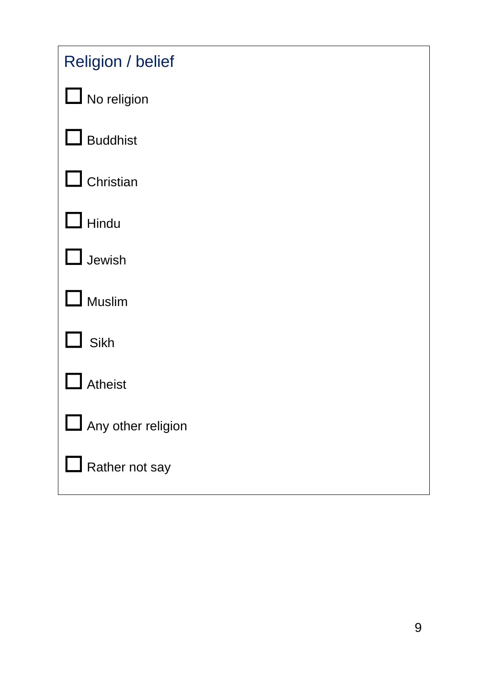| <b>Religion / belief</b> |
|--------------------------|
| $\Box$ No religion       |
| $\Box$ Buddhist          |
| Christian                |
| Hindu                    |
| Jewish                   |
| Muslim                   |
| Sikh                     |
| <b>Atheist</b>           |
| Any other religion       |
| $\Box$ Rather not say    |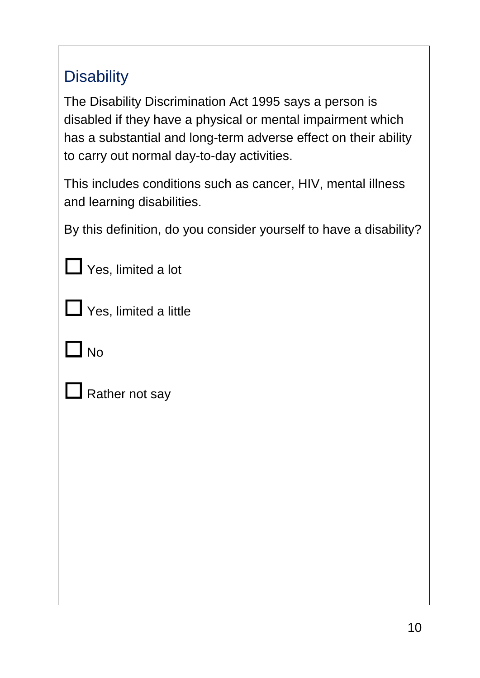## **Disability**

The Disability Discrimination Act 1995 says a person is disabled if they have a physical or mental impairment which has a substantial and long-term adverse effect on their ability to carry out normal day-to-day activities.

This includes conditions such as cancer, HIV, mental illness and learning disabilities.

By this definition, do you consider yourself to have a disability?

|  | $\Box$ Yes, limited a lot |
|--|---------------------------|

☐ Yes, limited a little

 $\Box$  No

 $\Box$  Rather not say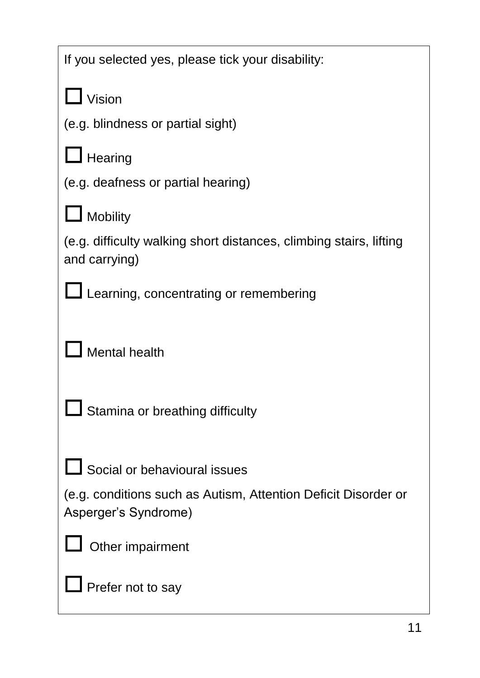| If you selected yes, please tick your disability:                                      |
|----------------------------------------------------------------------------------------|
| $\mathsf I$ Vision                                                                     |
| (e.g. blindness or partial sight)                                                      |
| $\Box$ Hearing                                                                         |
| (e.g. deafness or partial hearing)                                                     |
| Mobility                                                                               |
| (e.g. difficulty walking short distances, climbing stairs, lifting<br>and carrying)    |
| Learning, concentrating or remembering                                                 |
|                                                                                        |
| <b>Mental health</b>                                                                   |
|                                                                                        |
| Stamina or breathing difficulty                                                        |
|                                                                                        |
| $\Box$ Social or behavioural issues                                                    |
| (e.g. conditions such as Autism, Attention Deficit Disorder or<br>Asperger's Syndrome) |
| Other impairment                                                                       |
| Prefer not to say                                                                      |